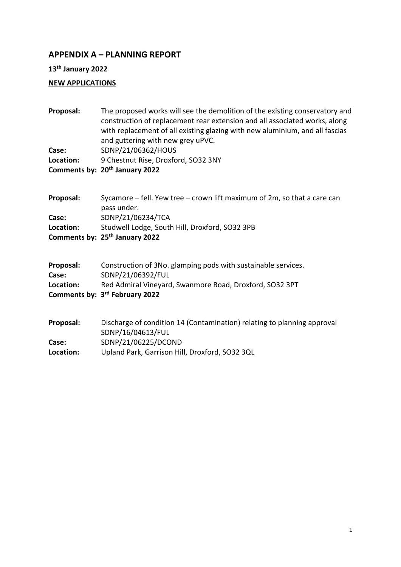# **APPENDIX A – PLANNING REPORT**

**13th January 2022**

## **NEW APPLICATIONS**

| Proposal:          | The proposed works will see the demolition of the existing conservatory and<br>construction of replacement rear extension and all associated works, along<br>with replacement of all existing glazing with new aluminium, and all fascias<br>and guttering with new grey uPVC. |
|--------------------|--------------------------------------------------------------------------------------------------------------------------------------------------------------------------------------------------------------------------------------------------------------------------------|
| Case:              | SDNP/21/06362/HOUS                                                                                                                                                                                                                                                             |
| Location:          | 9 Chestnut Rise, Droxford, SO32 3NY                                                                                                                                                                                                                                            |
|                    | Comments by: 20 <sup>th</sup> January 2022                                                                                                                                                                                                                                     |
| Proposal:          | Sycamore $-$ fell. Yew tree $-$ crown lift maximum of 2m, so that a care can<br>pass under.                                                                                                                                                                                    |
| Case:              | SDNP/21/06234/TCA                                                                                                                                                                                                                                                              |
| Location:          | Studwell Lodge, South Hill, Droxford, SO32 3PB                                                                                                                                                                                                                                 |
|                    | Comments by: 25 <sup>th</sup> January 2022                                                                                                                                                                                                                                     |
| Proposal:<br>Case: | Construction of 3No. glamping pods with sustainable services.<br>SDNP/21/06392/FUL                                                                                                                                                                                             |
| Location:          | Red Admiral Vineyard, Swanmore Road, Droxford, SO32 3PT                                                                                                                                                                                                                        |
|                    | Comments by: 3rd February 2022                                                                                                                                                                                                                                                 |
| Proposal:          | Discharge of condition 14 (Contamination) relating to planning approval<br>SDNP/16/04613/FUL                                                                                                                                                                                   |
| Case:              | SDNP/21/06225/DCOND                                                                                                                                                                                                                                                            |
| Location:          | Upland Park, Garrison Hill, Droxford, SO32 3QL                                                                                                                                                                                                                                 |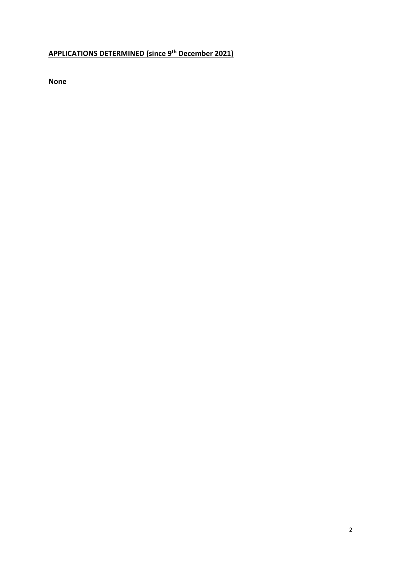#### **APPLICATIONS DETERMINED (since 9 th December 2021)**

**None**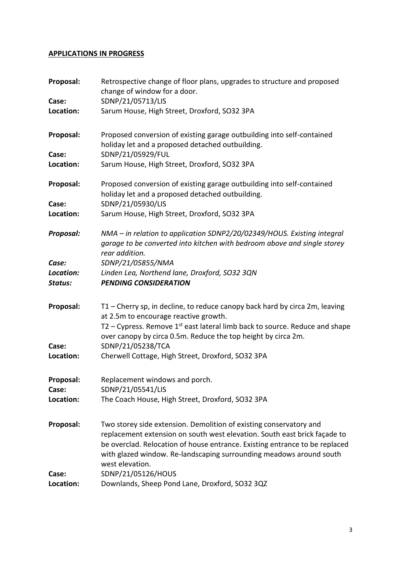### **APPLICATIONS IN PROGRESS**

| Proposal:<br>Case:            | Retrospective change of floor plans, upgrades to structure and proposed<br>change of window for a door.<br>SDNP/21/05713/LIS                                                                                                                                                                                             |
|-------------------------------|--------------------------------------------------------------------------------------------------------------------------------------------------------------------------------------------------------------------------------------------------------------------------------------------------------------------------|
| Location:                     | Sarum House, High Street, Droxford, SO32 3PA                                                                                                                                                                                                                                                                             |
| Proposal:                     | Proposed conversion of existing garage outbuilding into self-contained<br>holiday let and a proposed detached outbuilding.                                                                                                                                                                                               |
| Case:<br>Location:            | SDNP/21/05929/FUL<br>Sarum House, High Street, Droxford, SO32 3PA                                                                                                                                                                                                                                                        |
| Proposal:                     | Proposed conversion of existing garage outbuilding into self-contained<br>holiday let and a proposed detached outbuilding.                                                                                                                                                                                               |
| Case:<br>Location:            | SDNP/21/05930/LIS<br>Sarum House, High Street, Droxford, SO32 3PA                                                                                                                                                                                                                                                        |
| Proposal:                     | NMA - in relation to application SDNP2/20/02349/HOUS. Existing integral<br>garage to be converted into kitchen with bedroom above and single storey<br>rear addition.                                                                                                                                                    |
| Case:<br>Location:<br>Status: | SDNP/21/05855/NMA<br>Linden Lea, Northend lane, Droxford, SO32 3QN<br><b>PENDING CONSIDERATION</b>                                                                                                                                                                                                                       |
| Proposal:                     | T1 – Cherry sp, in decline, to reduce canopy back hard by circa 2m, leaving<br>at 2.5m to encourage reactive growth.<br>T2 – Cypress. Remove $1st$ east lateral limb back to source. Reduce and shape<br>over canopy by circa 0.5m. Reduce the top height by circa 2m.                                                   |
| Case:<br>Location:            | SDNP/21/05238/TCA<br>Cherwell Cottage, High Street, Droxford, SO32 3PA                                                                                                                                                                                                                                                   |
| Proposal:<br>Case:            | Replacement windows and porch.<br>SDNP/21/05541/LIS                                                                                                                                                                                                                                                                      |
| Location:                     | The Coach House, High Street, Droxford, SO32 3PA                                                                                                                                                                                                                                                                         |
| Proposal:                     | Two storey side extension. Demolition of existing conservatory and<br>replacement extension on south west elevation. South east brick façade to<br>be overclad. Relocation of house entrance. Existing entrance to be replaced<br>with glazed window. Re-landscaping surrounding meadows around south<br>west elevation. |
| Case:<br>Location:            | SDNP/21/05126/HOUS<br>Downlands, Sheep Pond Lane, Droxford, SO32 3QZ                                                                                                                                                                                                                                                     |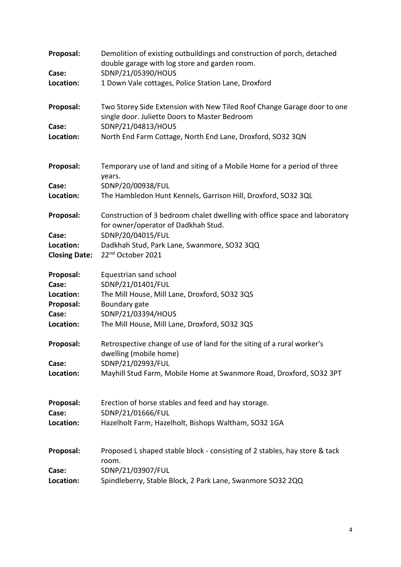| SDNP/21/05390/HOUS<br>Case:<br>1 Down Vale cottages, Police Station Lane, Droxford<br>Location:<br>Proposal:<br>Two Storey Side Extension with New Tiled Roof Change Garage door to one<br>single door. Juliette Doors to Master Bedroom<br>SDNP/21/04813/HOUS<br>Case:<br>Location:<br>North End Farm Cottage, North End Lane, Droxford, SO32 3QN<br>Proposal:<br>Temporary use of land and siting of a Mobile Home for a period of three<br>years.<br>SDNP/20/00938/FUL<br>Case:<br>Location:<br>The Hambledon Hunt Kennels, Garrison Hill, Droxford, SO32 3QL<br>Proposal:<br>Construction of 3 bedroom chalet dwelling with office space and laboratory<br>for owner/operator of Dadkhah Stud.<br>SDNP/20/04015/FUL<br>Case: |  |
|----------------------------------------------------------------------------------------------------------------------------------------------------------------------------------------------------------------------------------------------------------------------------------------------------------------------------------------------------------------------------------------------------------------------------------------------------------------------------------------------------------------------------------------------------------------------------------------------------------------------------------------------------------------------------------------------------------------------------------|--|
|                                                                                                                                                                                                                                                                                                                                                                                                                                                                                                                                                                                                                                                                                                                                  |  |
|                                                                                                                                                                                                                                                                                                                                                                                                                                                                                                                                                                                                                                                                                                                                  |  |
|                                                                                                                                                                                                                                                                                                                                                                                                                                                                                                                                                                                                                                                                                                                                  |  |
|                                                                                                                                                                                                                                                                                                                                                                                                                                                                                                                                                                                                                                                                                                                                  |  |
|                                                                                                                                                                                                                                                                                                                                                                                                                                                                                                                                                                                                                                                                                                                                  |  |
|                                                                                                                                                                                                                                                                                                                                                                                                                                                                                                                                                                                                                                                                                                                                  |  |
|                                                                                                                                                                                                                                                                                                                                                                                                                                                                                                                                                                                                                                                                                                                                  |  |
|                                                                                                                                                                                                                                                                                                                                                                                                                                                                                                                                                                                                                                                                                                                                  |  |
|                                                                                                                                                                                                                                                                                                                                                                                                                                                                                                                                                                                                                                                                                                                                  |  |
|                                                                                                                                                                                                                                                                                                                                                                                                                                                                                                                                                                                                                                                                                                                                  |  |
| Location:<br>Dadkhah Stud, Park Lane, Swanmore, SO32 3QQ                                                                                                                                                                                                                                                                                                                                                                                                                                                                                                                                                                                                                                                                         |  |
| 22nd October 2021<br><b>Closing Date:</b>                                                                                                                                                                                                                                                                                                                                                                                                                                                                                                                                                                                                                                                                                        |  |
| Proposal:<br>Equestrian sand school                                                                                                                                                                                                                                                                                                                                                                                                                                                                                                                                                                                                                                                                                              |  |
| SDNP/21/01401/FUL<br>Case:                                                                                                                                                                                                                                                                                                                                                                                                                                                                                                                                                                                                                                                                                                       |  |
| The Mill House, Mill Lane, Droxford, SO32 3QS<br>Location:                                                                                                                                                                                                                                                                                                                                                                                                                                                                                                                                                                                                                                                                       |  |
| Boundary gate<br>Proposal:                                                                                                                                                                                                                                                                                                                                                                                                                                                                                                                                                                                                                                                                                                       |  |
| SDNP/21/03394/HOUS<br>Case:                                                                                                                                                                                                                                                                                                                                                                                                                                                                                                                                                                                                                                                                                                      |  |
| The Mill House, Mill Lane, Droxford, SO32 3QS<br>Location:                                                                                                                                                                                                                                                                                                                                                                                                                                                                                                                                                                                                                                                                       |  |
| Proposal:<br>Retrospective change of use of land for the siting of a rural worker's<br>dwelling (mobile home)                                                                                                                                                                                                                                                                                                                                                                                                                                                                                                                                                                                                                    |  |
| SDNP/21/02993/FUL<br>Case:                                                                                                                                                                                                                                                                                                                                                                                                                                                                                                                                                                                                                                                                                                       |  |
| Mayhill Stud Farm, Mobile Home at Swanmore Road, Droxford, SO32 3PT<br>Location:                                                                                                                                                                                                                                                                                                                                                                                                                                                                                                                                                                                                                                                 |  |
| Proposal:<br>Erection of horse stables and feed and hay storage.                                                                                                                                                                                                                                                                                                                                                                                                                                                                                                                                                                                                                                                                 |  |
| SDNP/21/01666/FUL<br>Case:                                                                                                                                                                                                                                                                                                                                                                                                                                                                                                                                                                                                                                                                                                       |  |
| Location:<br>Hazelholt Farm, Hazelholt, Bishops Waltham, SO32 1GA                                                                                                                                                                                                                                                                                                                                                                                                                                                                                                                                                                                                                                                                |  |
| Proposal:<br>Proposed L shaped stable block - consisting of 2 stables, hay store & tack<br>room.                                                                                                                                                                                                                                                                                                                                                                                                                                                                                                                                                                                                                                 |  |
| SDNP/21/03907/FUL<br>Case:                                                                                                                                                                                                                                                                                                                                                                                                                                                                                                                                                                                                                                                                                                       |  |
| Spindleberry, Stable Block, 2 Park Lane, Swanmore SO32 2QQ<br>Location:                                                                                                                                                                                                                                                                                                                                                                                                                                                                                                                                                                                                                                                          |  |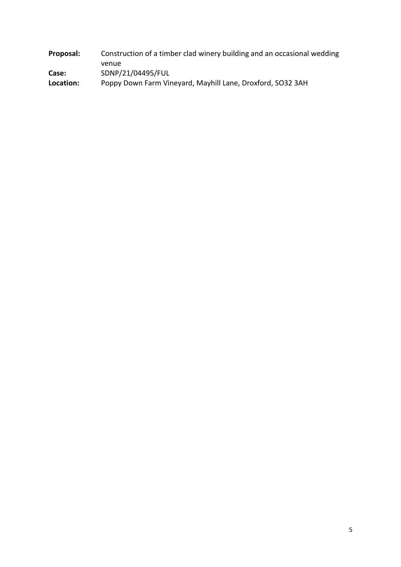| Proposal: | Construction of a timber clad winery building and an occasional wedding |
|-----------|-------------------------------------------------------------------------|
|           | venue                                                                   |
| Case:     | SDNP/21/04495/FUL                                                       |
| Location: | Poppy Down Farm Vineyard, Mayhill Lane, Droxford, SO32 3AH              |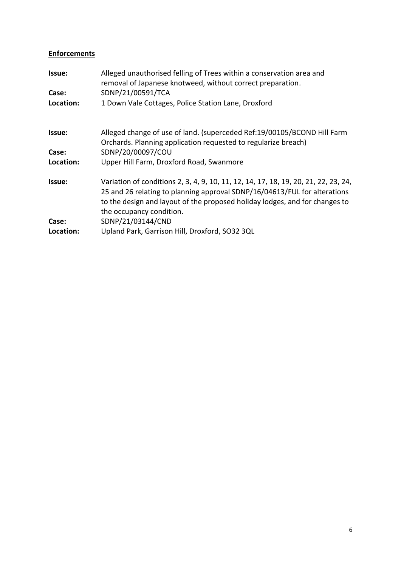### **Enforcements**

| Issue:    | Alleged unauthorised felling of Trees within a conservation area and<br>removal of Japanese knotweed, without correct preparation.                                                                                                                                          |
|-----------|-----------------------------------------------------------------------------------------------------------------------------------------------------------------------------------------------------------------------------------------------------------------------------|
| Case:     | SDNP/21/00591/TCA                                                                                                                                                                                                                                                           |
| Location: | 1 Down Vale Cottages, Police Station Lane, Droxford                                                                                                                                                                                                                         |
| Issue:    | Alleged change of use of land. (superceded Ref: 19/00105/BCOND Hill Farm<br>Orchards. Planning application requested to regularize breach)                                                                                                                                  |
| Case:     | SDNP/20/00097/COU                                                                                                                                                                                                                                                           |
| Location: | Upper Hill Farm, Droxford Road, Swanmore                                                                                                                                                                                                                                    |
| Issue:    | Variation of conditions 2, 3, 4, 9, 10, 11, 12, 14, 17, 18, 19, 20, 21, 22, 23, 24,<br>25 and 26 relating to planning approval SDNP/16/04613/FUL for alterations<br>to the design and layout of the proposed holiday lodges, and for changes to<br>the occupancy condition. |
| Case:     | SDNP/21/03144/CND                                                                                                                                                                                                                                                           |
| Location: | Upland Park, Garrison Hill, Droxford, SO32 3QL                                                                                                                                                                                                                              |
|           |                                                                                                                                                                                                                                                                             |